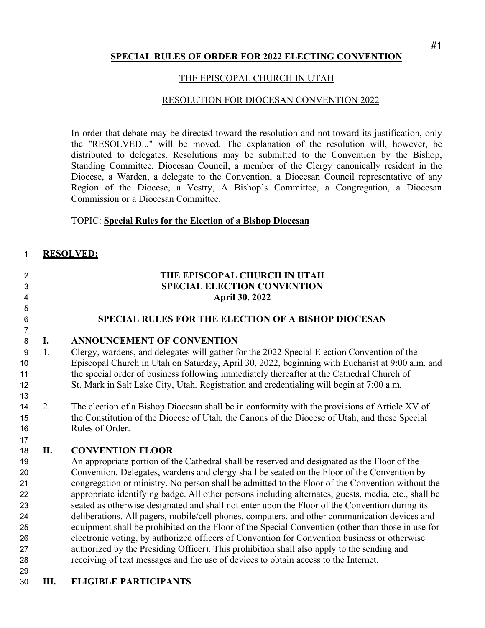### **SPECIAL RULES OF ORDER FOR 2022 ELECTING CONVENTION**

### THE EPISCOPAL CHURCH IN UTAH

### RESOLUTION FOR DIOCESAN CONVENTION 2022

In order that debate may be directed toward the resolution and not toward its justification, only the "RESOLVED..." will be moved. The explanation of the resolution will, however, be distributed to delegates. Resolutions may be submitted to the Convention by the Bishop, Standing Committee, Diocesan Council, a member of the Clergy canonically resident in the Diocese, a Warden, a delegate to the Convention, a Diocesan Council representative of any Region of the Diocese, a Vestry, A Bishop's Committee, a Congregation, a Diocesan Commission or a Diocesan Committee.

### TOPIC: **Special Rules for the Election of a Bishop Diocesan**

### **RESOLVED:**

| $\overline{2}$ |    | THE EPISCOPAL CHURCH IN UTAH                                                                         |
|----------------|----|------------------------------------------------------------------------------------------------------|
| 3              |    | <b>SPECIAL ELECTION CONVENTION</b>                                                                   |
| 4              |    | <b>April 30, 2022</b>                                                                                |
| 5              |    |                                                                                                      |
| $\,6$          |    | SPECIAL RULES FOR THE ELECTION OF A BISHOP DIOCESAN                                                  |
| $\overline{7}$ |    |                                                                                                      |
| $\,8\,$        | I. | <b>ANNOUNCEMENT OF CONVENTION</b>                                                                    |
| 9              | 1. | Clergy, wardens, and delegates will gather for the 2022 Special Election Convention of the           |
| 10             |    | Episcopal Church in Utah on Saturday, April 30, 2022, beginning with Eucharist at 9:00 a.m. and      |
| 11             |    | the special order of business following immediately thereafter at the Cathedral Church of            |
| 12             |    | St. Mark in Salt Lake City, Utah. Registration and credentialing will begin at 7:00 a.m.             |
| 13             |    |                                                                                                      |
| 14             | 2. | The election of a Bishop Diocesan shall be in conformity with the provisions of Article XV of        |
| 15             |    | the Constitution of the Diocese of Utah, the Canons of the Diocese of Utah, and these Special        |
| 16             |    | Rules of Order.                                                                                      |
| 17             |    |                                                                                                      |
| 18             | П. | <b>CONVENTION FLOOR</b>                                                                              |
| 19             |    | An appropriate portion of the Cathedral shall be reserved and designated as the Floor of the         |
| 20             |    | Convention. Delegates, wardens and clergy shall be seated on the Floor of the Convention by          |
| 21             |    | congregation or ministry. No person shall be admitted to the Floor of the Convention without the     |
| 22             |    | appropriate identifying badge. All other persons including alternates, guests, media, etc., shall be |
| 23             |    | seated as otherwise designated and shall not enter upon the Floor of the Convention during its       |
| 24             |    | deliberations. All pagers, mobile/cell phones, computers, and other communication devices and        |
| 25             |    | equipment shall be prohibited on the Floor of the Special Convention (other than those in use for    |
| 26             |    | electronic voting, by authorized officers of Convention for Convention business or otherwise         |
| 27             |    | authorized by the Presiding Officer). This prohibition shall also apply to the sending and           |
| 28             |    | receiving of text messages and the use of devices to obtain access to the Internet.                  |
| 29             |    |                                                                                                      |
| 30             | Ш. | <b>ELIGIBLE PARTICIPANTS</b>                                                                         |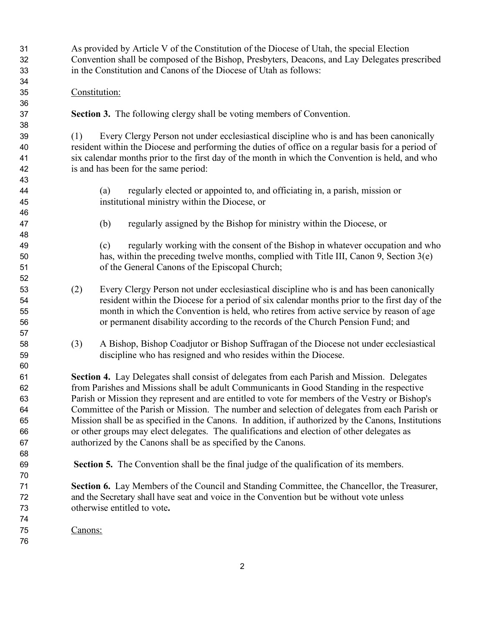As provided by Article V of the Constitution of the Diocese of Utah, the special Election Convention shall be composed of the Bishop, Presbyters, Deacons, and Lay Delegates prescribed in the Constitution and Canons of the Diocese of Utah as follows:

### Constitution:

**Section 3.** The following clergy shall be voting members of Convention.

 (1) Every Clergy Person not under ecclesiastical discipline who is and has been canonically resident within the Diocese and performing the duties of office on a regular basis for a period of six calendar months prior to the first day of the month in which the Convention is held, and who is and has been for the same period:

- (a) regularly elected or appointed to, and officiating in, a parish, mission or institutional ministry within the Diocese, or
- (b) regularly assigned by the Bishop for ministry within the Diocese, or

 (c) regularly working with the consent of the Bishop in whatever occupation and who has, within the preceding twelve months, complied with Title III, Canon 9, Section 3(e) of the General Canons of the Episcopal Church;

- (2) Every Clergy Person not under ecclesiastical discipline who is and has been canonically resident within the Diocese for a period of six calendar months prior to the first day of the month in which the Convention is held, who retires from active service by reason of age or permanent disability according to the records of the Church Pension Fund; and
- (3) A Bishop, Bishop Coadjutor or Bishop Suffragan of the Diocese not under ecclesiastical discipline who has resigned and who resides within the Diocese.

 **Section 4.** Lay Delegates shall consist of delegates from each Parish and Mission. Delegates from Parishes and Missions shall be adult Communicants in Good Standing in the respective Parish or Mission they represent and are entitled to vote for members of the Vestry or Bishop's Committee of the Parish or Mission. The number and selection of delegates from each Parish or Mission shall be as specified in the Canons. In addition, if authorized by the Canons, Institutions or other groups may elect delegates. The qualifications and election of other delegates as authorized by the Canons shall be as specified by the Canons.

**Section 5.** The Convention shall be the final judge of the qualification of its members.

 **Section 6.** Lay Members of the Council and Standing Committee, the Chancellor, the Treasurer, and the Secretary shall have seat and voice in the Convention but be without vote unless otherwise entitled to vote**.** 

Canons: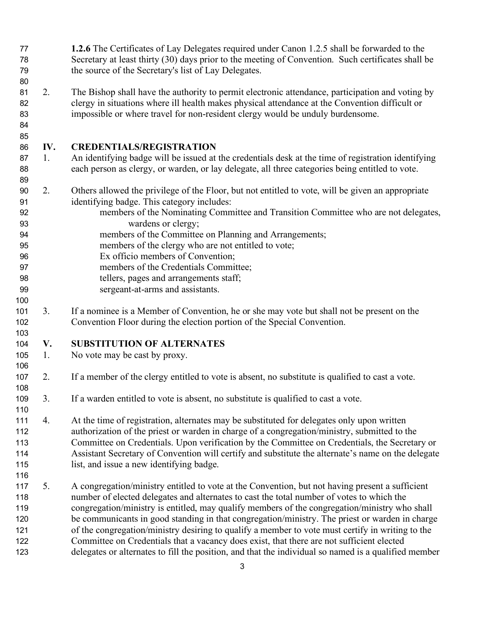- **1.2.6** The Certificates of Lay Delegates required under Canon 1.2.5 shall be forwarded to the Secretary at least thirty (30) days prior to the meeting of Convention. Such certificates shall be the source of the Secretary's list of Lay Delegates.
- 2. The Bishop shall have the authority to permit electronic attendance, participation and voting by clergy in situations where ill health makes physical attendance at the Convention difficult or impossible or where travel for non-resident clergy would be unduly burdensome.
- 

# **IV. CREDENTIALS/REGISTRATION**

- 1. An identifying badge will be issued at the credentials desk at the time of registration identifying each person as clergy, or warden, or lay delegate, all three categories being entitled to vote.
- 2. Others allowed the privilege of the Floor, but not entitled to vote, will be given an appropriate identifying badge. This category includes:
- members of the Nominating Committee and Transition Committee who are not delegates, wardens or clergy;
- members of the Committee on Planning and Arrangements;
- members of the clergy who are not entitled to vote;
- Ex officio members of Convention;
- members of the Credentials Committee;
- tellers, pages and arrangements staff;
- sergeant-at-arms and assistants.
- 3. If a nominee is a Member of Convention, he or she may vote but shall not be present on the Convention Floor during the election portion of the Special Convention.

# **V. SUBSTITUTION OF ALTERNATES**

1. No vote may be cast by proxy.

# 2. If a member of the clergy entitled to vote is absent, no substitute is qualified to cast a vote.

- 3. If a warden entitled to vote is absent, no substitute is qualified to cast a vote.
- 4. At the time of registration, alternates may be substituted for delegates only upon written authorization of the priest or warden in charge of a congregation/ministry, submitted to the Committee on Credentials. Upon verification by the Committee on Credentials, the Secretary or Assistant Secretary of Convention will certify and substitute the alternate's name on the delegate list, and issue a new identifying badge.
- 5. A congregation/ministry entitled to vote at the Convention, but not having present a sufficient number of elected delegates and alternates to cast the total number of votes to which the congregation/ministry is entitled, may qualify members of the congregation/ministry who shall be communicants in good standing in that congregation/ministry. The priest or warden in charge of the congregation/ministry desiring to qualify a member to vote must certify in writing to the Committee on Credentials that a vacancy does exist, that there are not sufficient elected delegates or alternates to fill the position, and that the individual so named is a qualified member
	-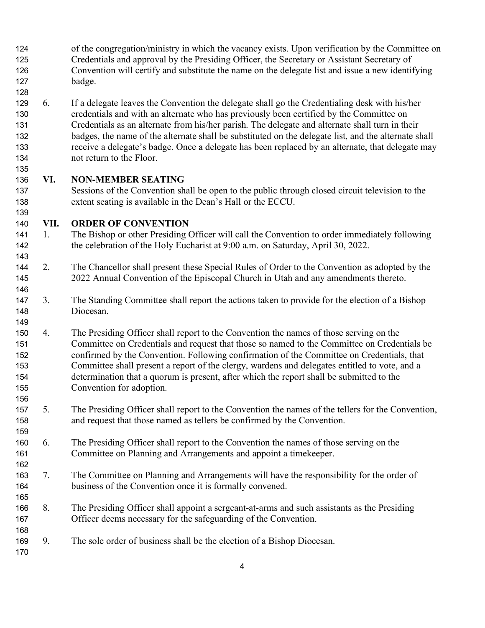- of the congregation/ministry in which the vacancy exists. Upon verification by the Committee on Credentials and approval by the Presiding Officer, the Secretary or Assistant Secretary of Convention will certify and substitute the name on the delegate list and issue a new identifying badge.
- 6. If a delegate leaves the Convention the delegate shall go the Credentialing desk with his/her credentials and with an alternate who has previously been certified by the Committee on Credentials as an alternate from his/her parish. The delegate and alternate shall turn in their badges, the name of the alternate shall be substituted on the delegate list, and the alternate shall receive a delegate's badge. Once a delegate has been replaced by an alternate, that delegate may not return to the Floor.

### **VI. NON-MEMBER SEATING**

 Sessions of the Convention shall be open to the public through closed circuit television to the extent seating is available in the Dean's Hall or the ECCU.

### **VII. ORDER OF CONVENTION**

- 1. The Bishop or other Presiding Officer will call the Convention to order immediately following the celebration of the Holy Eucharist at 9:00 a.m. on Saturday, April 30, 2022.
- 2. The Chancellor shall present these Special Rules of Order to the Convention as adopted by the 2022 Annual Convention of the Episcopal Church in Utah and any amendments thereto.
- 3. The Standing Committee shall report the actions taken to provide for the election of a Bishop Diocesan.
- 4. The Presiding Officer shall report to the Convention the names of those serving on the Committee on Credentials and request that those so named to the Committee on Credentials be confirmed by the Convention. Following confirmation of the Committee on Credentials, that Committee shall present a report of the clergy, wardens and delegates entitled to vote, and a determination that a quorum is present, after which the report shall be submitted to the Convention for adoption.
- 5. The Presiding Officer shall report to the Convention the names of the tellers for the Convention, and request that those named as tellers be confirmed by the Convention.
- 6. The Presiding Officer shall report to the Convention the names of those serving on the Committee on Planning and Arrangements and appoint a timekeeper.
- 7. The Committee on Planning and Arrangements will have the responsibility for the order of business of the Convention once it is formally convened.
- 8. The Presiding Officer shall appoint a sergeant-at-arms and such assistants as the Presiding Officer deems necessary for the safeguarding of the Convention.
- 9. The sole order of business shall be the election of a Bishop Diocesan.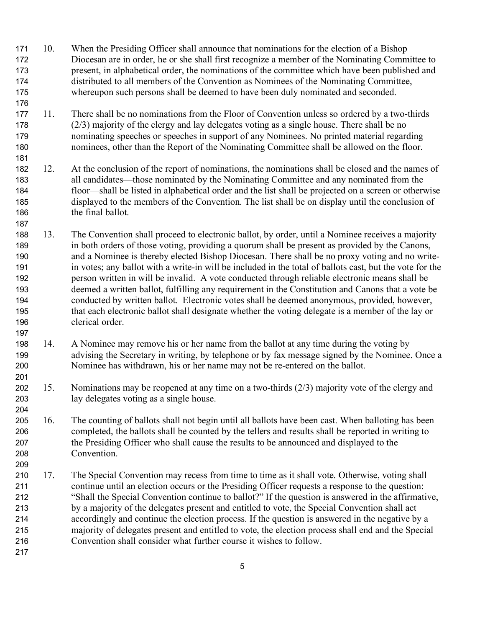- 10. When the Presiding Officer shall announce that nominations for the election of a Bishop Diocesan are in order, he or she shall first recognize a member of the Nominating Committee to present, in alphabetical order, the nominations of the committee which have been published and distributed to all members of the Convention as Nominees of the Nominating Committee, whereupon such persons shall be deemed to have been duly nominated and seconded.
- 11. There shall be no nominations from the Floor of Convention unless so ordered by a two-thirds (2/3) majority of the clergy and lay delegates voting as a single house. There shall be no nominating speeches or speeches in support of any Nominees. No printed material regarding nominees, other than the Report of the Nominating Committee shall be allowed on the floor.
- 12. At the conclusion of the report of nominations, the nominations shall be closed and the names of all candidates—those nominated by the Nominating Committee and any nominated from the floor—shall be listed in alphabetical order and the list shall be projected on a screen or otherwise displayed to the members of the Convention. The list shall be on display until the conclusion of 186 the final ballot.
- 13. The Convention shall proceed to electronic ballot, by order, until a Nominee receives a majority in both orders of those voting, providing a quorum shall be present as provided by the Canons, and a Nominee is thereby elected Bishop Diocesan. There shall be no proxy voting and no write- in votes; any ballot with a write-in will be included in the total of ballots cast, but the vote for the person written in will be invalid. A vote conducted through reliable electronic means shall be deemed a written ballot, fulfilling any requirement in the Constitution and Canons that a vote be conducted by written ballot. Electronic votes shall be deemed anonymous, provided, however, that each electronic ballot shall designate whether the voting delegate is a member of the lay or clerical order.
- 14. A Nominee may remove his or her name from the ballot at any time during the voting by advising the Secretary in writing, by telephone or by fax message signed by the Nominee. Once a Nominee has withdrawn, his or her name may not be re-entered on the ballot.
- 15. Nominations may be reopened at any time on a two-thirds (2/3) majority vote of the clergy and lay delegates voting as a single house.
- 16. The counting of ballots shall not begin until all ballots have been cast. When balloting has been completed, the ballots shall be counted by the tellers and results shall be reported in writing to the Presiding Officer who shall cause the results to be announced and displayed to the Convention.
- 17. The Special Convention may recess from time to time as it shall vote. Otherwise, voting shall continue until an election occurs or the Presiding Officer requests a response to the question: "Shall the Special Convention continue to ballot?" If the question is answered in the affirmative, by a majority of the delegates present and entitled to vote, the Special Convention shall act accordingly and continue the election process. If the question is answered in the negative by a majority of delegates present and entitled to vote, the election process shall end and the Special Convention shall consider what further course it wishes to follow.
-